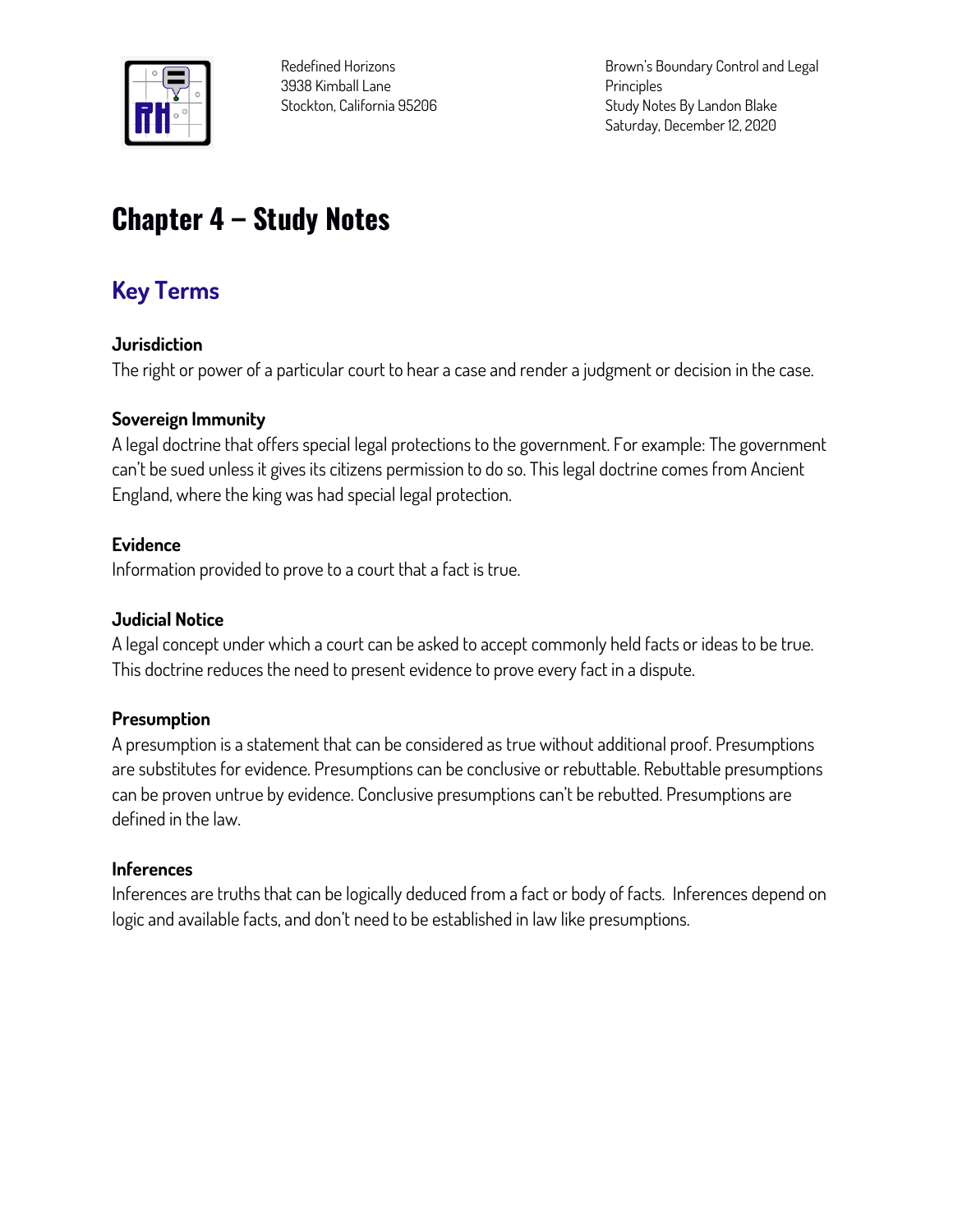

**Redefined Horizons 3938 Kimball Lane Stockton, California 95206** **Brown's Boundary Control and Legal Principles Study Notes By Landon Blake Saturday, December 12, 2020**

# **Chapter 4 – Study Notes**

## **Key Terms**

#### **Jurisdiction**

**The right or power of a particular court to hear a case and render a judgment or decision in the case.**

#### **Sovereign Immunity**

**A legal doctrine that offers special legal protections to the government. For example: The government can't be sued unless it gives its citizens permission to do so. This legal doctrine comes from Ancient England, where the king was had special legal protection.**

#### **Evidence**

**Information provided to prove to a court that a fact is true.**

#### **Judicial Notice**

**A legal concept under which a court can be asked to accept commonly held facts or ideas to be true. This doctrine reduces the need to present evidence to prove every fact in a dispute.**

#### **Presumption**

**A presumption is a statement that can be considered as true without additional proof. Presumptions are substitutes for evidence. Presumptions can be conclusive or rebuttable. Rebuttable presumptions can be proven untrue by evidence. Conclusive presumptions can't be rebutted. Presumptions are defined in the law.**

#### **Inferences**

**Inferences are truths that can be logically deduced from a fact or body of facts. Inferences depend on logic and available facts, and don't need to be established in law like presumptions.**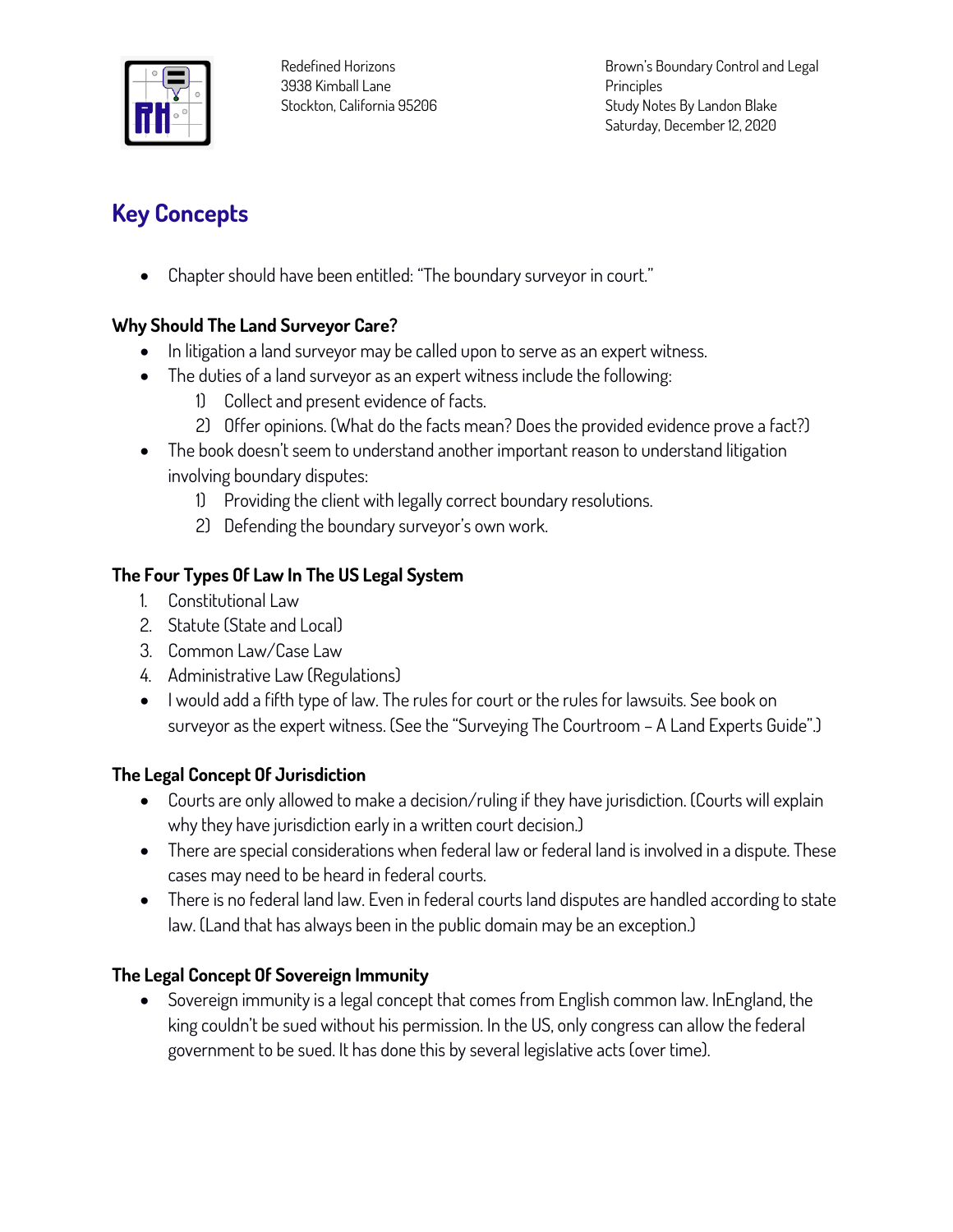

**Redefined Horizons 3938 Kimball Lane Stockton, California 95206** **Brown's Boundary Control and Legal Principles Study Notes By Landon Blake Saturday, December 12, 2020**

## **Key Concepts**

**Chapter should have been entitled: "The boundary surveyor in court."**

## **Why Should The Land Surveyor Care?**

- **In litigation a land surveyor may be called upon to serve as an expert witness.**
- **The duties of a land surveyor as an expert witness include the following:**
	- **1) Collect and present evidence of facts.**
	- **2) Offer opinions. (What do the facts mean? Does the provided evidence prove a fact?)**
- **The book doesn't seem to understand another important reason to understand litigation involving boundary disputes:**
	- **1) Providing the client with legally correct boundary resolutions.**
	- **2) Defending the boundary surveyor's own work.**

## **The Four Types Of Law In The US Legal System**

- **1. Constitutional Law**
- **2. Statute (State and Local)**
- **3. Common Law/Case Law**
- **4. Administrative Law (Regulations)**
- **I would add a fifth type of law. The rules for court or the rules for lawsuits. See book on surveyor as the expert witness. (See the "Surveying The Courtroom – A Land Experts Guide".)**

## **The Legal Concept Of Jurisdiction**

- **Courts are only allowed to make a decision/ruling if they have jurisdiction. (Courts will explain why they have jurisdiction early in a written court decision.)**
- **There are special considerations when federal law or federal land is involved in a dispute. These cases may need to be heard in federal courts.**
- **There is no federal land law. Even in federal courts land disputes are handled according to state law. (Land that has always been in the public domain may be an exception.)**

## **The Legal Concept Of Sovereign Immunity**

 **Sovereign immunity is a legal concept that comes from English common law. InEngland, the king couldn't be sued without his permission. In the US, only congress can allow the federal government to be sued. It has done this by several legislative acts (over time).**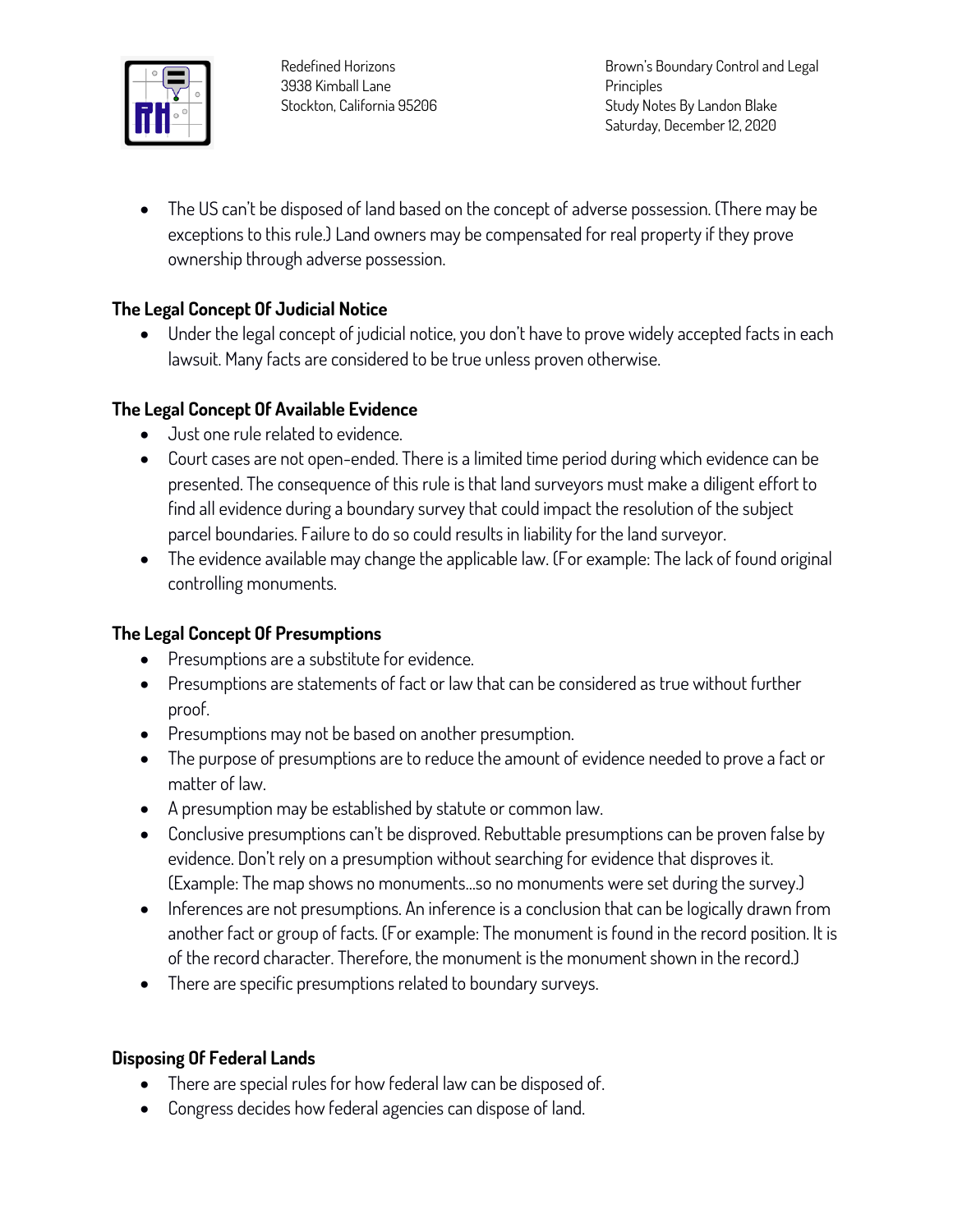

**Brown's Boundary Control and Legal Principles Study Notes By Landon Blake Saturday, December 12, 2020**

 **The US can't be disposed of land based on the concept of adverse possession. (There may be exceptions to this rule.) Land owners may be compensated for real property if they prove ownership through adverse possession.**

### **The Legal Concept Of Judicial Notice**

 **Under the legal concept of judicial notice, you don't have to prove widely accepted facts in each lawsuit. Many facts are considered to be true unless proven otherwise.**

#### **The Legal Concept Of Available Evidence**

- **Just one rule related to evidence.**
- **Court cases are not open-ended. There is a limited time period during which evidence can be presented. The consequence of this rule is that land surveyors must make a diligent effort to find all evidence during a boundary survey that could impact the resolution of the subject parcel boundaries. Failure to do so could results in liability for the land surveyor.**
- **The evidence available may change the applicable law. (For example: The lack of found original controlling monuments.**

## **The Legal Concept Of Presumptions**

- **Presumptions are a substitute for evidence.**
- **Presumptions are statements of fact or law that can be considered as true without further proof.**
- **Presumptions may not be based on another presumption.**
- **The purpose of presumptions are to reduce the amount of evidence needed to prove a fact or matter of law.**
- **A presumption may be established by statute or common law.**
- **Conclusive presumptions can't be disproved. Rebuttable presumptions can be proven false by evidence. Don't rely on a presumption without searching for evidence that disproves it. (Example: The map shows no monuments…so no monuments were set during the survey.)**
- **Inferences are not presumptions. An inference is a conclusion that can be logically drawn from another fact or group of facts. (For example: The monument is found in the record position. It is of the record character. Therefore, the monument is the monument shown in the record.)**
- **There are specific presumptions related to boundary surveys.**

#### **Disposing Of Federal Lands**

- **There are special rules for how federal law can be disposed of.**
- **Congress decides how federal agencies can dispose of land.**